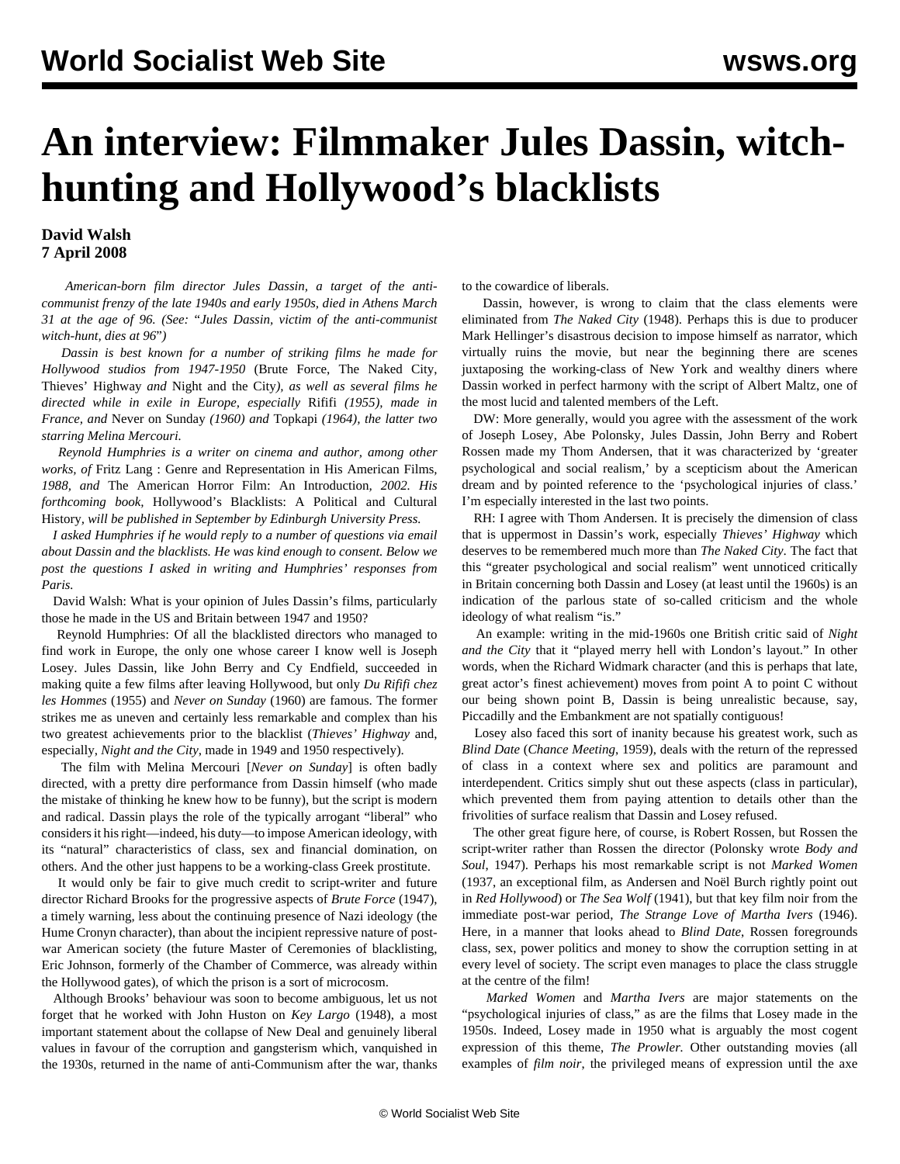## **An interview: Filmmaker Jules Dassin, witchhunting and Hollywood's blacklists**

## **David Walsh 7 April 2008**

 *American-born film director Jules Dassin, a target of the anticommunist frenzy of the late 1940s and early 1950s, died in Athens March 31 at the age of 96. (See:* ["](dass-a03.shtml)*[Jules Dassin, victim of the anti-communist](dass-a03.shtml) [witch-hunt, dies at 96](dass-a03.shtml)*["](dass-a03.shtml)*)*

 *Dassin is best known for a number of striking films he made for Hollywood studios from 1947-1950* (Brute Force, The Naked City, Thieves' Highway *and* Night and the City*), as well as several films he directed while in exile in Europe, especially* Rififi *(1955), made in France, and* Never on Sunday *(1960) and* Topkapi *(1964), the latter two starring Melina Mercouri.*

 *Reynold Humphries is a writer on cinema and author, among other works, of* Fritz Lang : Genre and Representation in His American Films*, 1988, and* The American Horror Film: An Introduction*, 2002. His forthcoming book,* Hollywood's Blacklists: A Political and Cultural History*, will be published in September by Edinburgh University Press.*

 *I asked Humphries if he would reply to a number of questions via email about Dassin and the blacklists. He was kind enough to consent. Below we post the questions I asked in writing and Humphries' responses from Paris.*

 David Walsh: What is your opinion of Jules Dassin's films, particularly those he made in the US and Britain between 1947 and 1950?

 Reynold Humphries: Of all the blacklisted directors who managed to find work in Europe, the only one whose career I know well is Joseph Losey. Jules Dassin, like John Berry and Cy Endfield, succeeded in making quite a few films after leaving Hollywood, but only *Du Rififi chez les Hommes* (1955) and *Never on Sunday* (1960) are famous. The former strikes me as uneven and certainly less remarkable and complex than his two greatest achievements prior to the blacklist (*Thieves' Highway* and, especially, *Night and the City*, made in 1949 and 1950 respectively).

 The film with Melina Mercouri [*Never on Sunday*] is often badly directed, with a pretty dire performance from Dassin himself (who made the mistake of thinking he knew how to be funny), but the script is modern and radical. Dassin plays the role of the typically arrogant "liberal" who considers it his right—indeed, his duty—to impose American ideology, with its "natural" characteristics of class, sex and financial domination, on others. And the other just happens to be a working-class Greek prostitute.

 It would only be fair to give much credit to script-writer and future director Richard Brooks for the progressive aspects of *Brute Force* (1947), a timely warning, less about the continuing presence of Nazi ideology (the Hume Cronyn character), than about the incipient repressive nature of postwar American society (the future Master of Ceremonies of blacklisting, Eric Johnson, formerly of the Chamber of Commerce, was already within the Hollywood gates), of which the prison is a sort of microcosm.

 Although Brooks' behaviour was soon to become ambiguous, let us not forget that he worked with John Huston on *Key Largo* (1948), a most important statement about the collapse of New Deal and genuinely liberal values in favour of the corruption and gangsterism which, vanquished in the 1930s, returned in the name of anti-Communism after the war, thanks

to the cowardice of liberals.

 Dassin, however, is wrong to claim that the class elements were eliminated from *The Naked City* (1948). Perhaps this is due to producer Mark Hellinger's disastrous decision to impose himself as narrator, which virtually ruins the movie, but near the beginning there are scenes juxtaposing the working-class of New York and wealthy diners where Dassin worked in perfect harmony with the script of Albert Maltz, one of the most lucid and talented members of the Left.

 DW: More generally, would you agree with the assessment of the work of Joseph Losey, Abe Polonsky, Jules Dassin, John Berry and Robert Rossen made my Thom Andersen, that it was characterized by 'greater psychological and social realism,' by a scepticism about the American dream and by pointed reference to the 'psychological injuries of class.' I'm especially interested in the last two points.

 RH: I agree with Thom Andersen. It is precisely the dimension of class that is uppermost in Dassin's work, especially *Thieves' Highway* which deserves to be remembered much more than *The Naked City*. The fact that this "greater psychological and social realism" went unnoticed critically in Britain concerning both Dassin and Losey (at least until the 1960s) is an indication of the parlous state of so-called criticism and the whole ideology of what realism "is."

 An example: writing in the mid-1960s one British critic said of *Night and the City* that it "played merry hell with London's layout." In other words, when the Richard Widmark character (and this is perhaps that late, great actor's finest achievement) moves from point A to point C without our being shown point B, Dassin is being unrealistic because, say, Piccadilly and the Embankment are not spatially contiguous!

 Losey also faced this sort of inanity because his greatest work, such as *Blind Date* (*Chance Meeting*, 1959), deals with the return of the repressed of class in a context where sex and politics are paramount and interdependent. Critics simply shut out these aspects (class in particular), which prevented them from paying attention to details other than the frivolities of surface realism that Dassin and Losey refused.

 The other great figure here, of course, is Robert Rossen, but Rossen the script-writer rather than Rossen the director (Polonsky wrote *Body and Soul*, 1947). Perhaps his most remarkable script is not *Marked Women* (1937, an exceptional film, as Andersen and Noël Burch rightly point out in *Red Hollywood*) or *The Sea Wolf* (1941), but that key film noir from the immediate post-war period, *The Strange Love of Martha Ivers* (1946). Here, in a manner that looks ahead to *Blind Date*, Rossen foregrounds class, sex, power politics and money to show the corruption setting in at every level of society. The script even manages to place the class struggle at the centre of the film!

 *Marked Women* and *Martha Ivers* are major statements on the "psychological injuries of class," as are the films that Losey made in the 1950s. Indeed, Losey made in 1950 what is arguably the most cogent expression of this theme, *The Prowler.* Other outstanding movies (all examples of *film noir*, the privileged means of expression until the axe